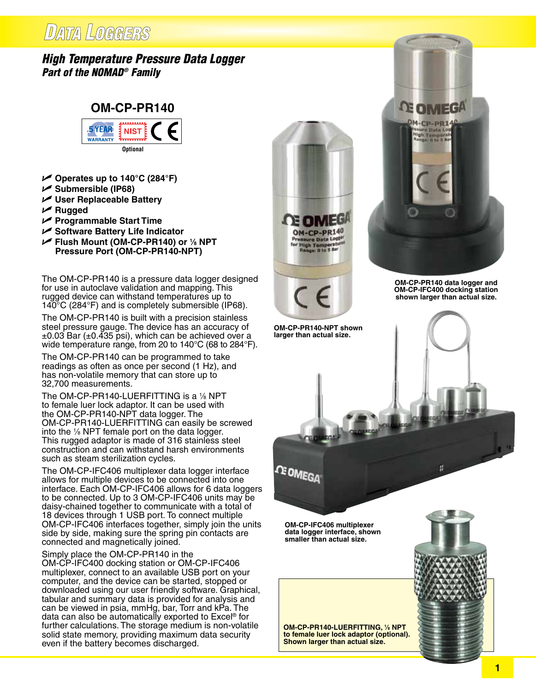## DATA LOGGERS

### *High Temperature Pressure Data Logger Part of the NOMAD® Family*



- U **Operates up to 140°C (284°F)**
- U **Submersible (IP68)**
- U **User Replaceable Battery**
- U **Rugged**
- U **Programmable Start Time**
- U **Software Battery Life Indicator**
- U **Flush Mount (OM-CP-PR140) or 1 ⁄8 NPT Pressure Port (OM-CP-PR140-NPT)**

The OM-CP-PR140 is a pressure data logger designed for use in autoclave validation and mapping. This rugged device can withstand temperatures up to 140°C (284°F) and is completely submersible (IP68).

The OM-CP-PR140 is built with a precision stainless steel pressure gauge. The device has an accuracy of  $\pm 0.03$  Bar ( $\pm 0.435$  psi), which can be achieved over a wide temperature range, from 20 to 140°C (68 to 284°F).

The OM-CP-PR140 can be programmed to take readings as often as once per second (1 Hz), and has non-volatile memory that can store up to 32,700 measurements.

The OM-CP-PR140-LUERFITTING is a 1⁄8 <code>NPT</code> to female luer lock adaptor. It can be used with the OM-CP-PR140-NPT data logger. The OM-CP-PR140-LUERFITTING can easily be screwed into the 1 ⁄8 NPT female port on the data logger. This rugged adaptor is made of 316 stainless steel construction and can withstand harsh environments such as steam sterilization cycles.

The OM-CP-IFC406 multiplexer data logger interface allows for multiple devices to be connected into one interface. Each OM-CP-IFC406 allows for 6 data loggers to be connected. Up to 3 OM-CP-IFC406 units may be daisy-chained together to communicate with a total of 18 devices through 1 USB port. To connect multiple OM-CP-IFC406 interfaces together, simply join the units side by side, making sure the spring pin contacts are connected and magnetically joined.

Simply place the OM-CP-PR140 in the

OM-CP-IFC400 docking station or OM-CP-IFC406 multiplexer, connect to an available USB port on your computer, and the device can be started, stopped or downloaded using our user friendly software. Graphical, tabular and summary data is provided for analysis and can be viewed in psia, mmHg, bar, Torr and kPa. The data can also be automatically exported to Excel® for further calculations. The storage medium is non-volatile solid state memory, providing maximum data security even if the battery becomes discharged.



**OM-CP-PR140-NPT shown larger than actual size.**

**CE OMEGA** 

**OM-CP-IFC406 multiplexer data logger interface, shown smaller than actual size.**



**OM-CP-PR140 data logger and OM-CP-IFC400 docking station shown larger than actual size.**

**DE OIMEGA** M-CP-PR14